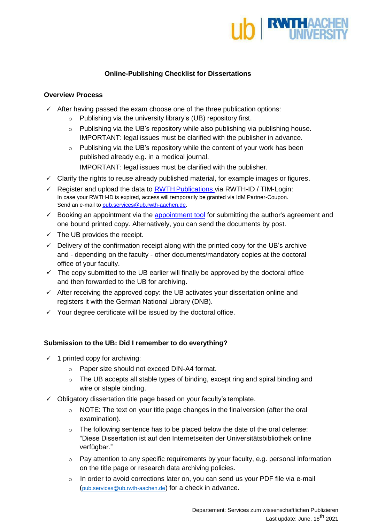

## **Online-Publishing Checklist for Dissertations**

## **Overview Process**

- $\checkmark$  After having passed the exam choose one of the three publication options:
	- o Publishing via the university library's (UB) repository first.
	- o Publishing via the UB's repository while also publishing via publishing house. IMPORTANT: legal issues must be clarified with the publisher in advance.
	- $\circ$  Publishing via the UB's repository while the content of your work has been published already e.g. in a medical journal. IMPORTANT: legal issues must be clarified with the publisher.
- $\checkmark$  Clarify the rights to reuse already published material, for example images or figures.
- Register and upload the data to RWTH [Publications](https://publications.rwth-aachen.de/?ln=en) via RWTH-ID / TIM-Login: In case your RWTH-ID is expired, access will temporarily be granted via IdM Partner-Coupon. Send an e-mail t[o pub.services@ub.rwth-aachen.de.](mailto:pub.services@ub.rwth-aachen.de)
- $\checkmark$  Booking an appointment via the [appointment tool](https://ecampus.rwth-aachen.de/vo/ub/SitePages/Homepage.aspx#26panel1-2) for submitting the author's agreement and one bound printed copy. Alternatively, you can send the documents by post.
- $\checkmark$  The UB provides the receipt.
- $\checkmark$  Delivery of the confirmation receipt along with the printed copy for the UB's archive and - depending on the faculty - other documents/mandatory copies at the doctoral office of your faculty.
- $\checkmark$  The copy submitted to the UB earlier will finally be approved by the doctoral office and then forwarded to the UB for archiving.
- $\checkmark$  After receiving the approved copy: the UB activates your dissertation online and registers it with the German National Library (DNB).
- $\checkmark$  Your degree certificate will be issued by the doctoral office.

## **Submission to the UB: Did I remember to do everything?**

- $\checkmark$  1 printed copy for archiving:
	- o Paper size should not exceed DIN-A4 format.
	- o The UB accepts all stable types of binding, except ring and spiral binding and wire or staple binding.
- $\checkmark$  Obligatory dissertation title page based on your faculty's template.
	- $\circ$  NOTE: The text on your title page changes in the final version (after the oral examination).
	- o The following sentence has to be placed below the date of the oral defense: "Diese Dissertation ist auf den Internetseiten der Universitätsbibliothek online verfügbar."
	- o Pay attention to any specific requirements by your faculty, e.g. personal information on the title page or research data archiving policies.
	- o In order to avoid corrections later on, you can send us your PDF file via e-mail ([pub.services@ub.rwth-aachen.de](mailto:pub.services@ub.rwth-aachen.de)) for a check in advance.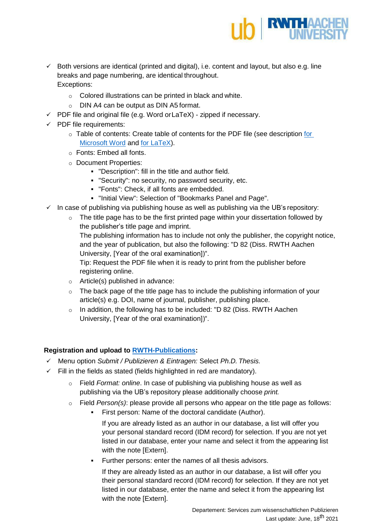

- $\checkmark$  Both versions are identical (printed and digital), i.e. content and layout, but also e.g. line breaks and page numbering, are identical throughout. Exceptions:
	- o Colored illustrations can be printed in black and white.
	- o DIN A4 can be output as DIN A5 format.
- $\checkmark$  PDF file and original file (e.g. Word or LaTeX) zipped if necessary.
- $\checkmark$  PDF file requirements:
	- $\circ$  Table of contents: Create table of contents [for](https://www.ub.rwth-aachen.de/global/show_document.asp?id=aaaaaaaabbrbrtk&download=1) the PDF file (see description for [Microsoft Word](https://www.ub.rwth-aachen.de/global/show_document.asp?id=aaaaaaaabbrbrtk&download=1) and [for LaTeX\)](https://www.ub.rwth-aachen.de/global/show_document.asp?id=aaaaaaaabbrdumu&download=1).
	- o Fonts: Embed all fonts.
	- o Document Properties:
		- "Description": fill in the title and author field.
		- "Security": no security, no password security, etc.
		- "Fonts": Check, if all fonts are embedded.
		- "Initial View": Selection of "Bookmarks Panel and Page".
- $\checkmark$  In case of publishing via publishing house as well as publishing via the UB's repository:
	- $\circ$  The title page has to be the first printed page within your dissertation followed by the publisher's title page and imprint.

The publishing information has to include not only the publisher, the copyright notice, and the year of publication, but also the following: "D 82 (Diss. RWTH Aachen University, [Year of the oral examination])".

Tip: Request the PDF file when it is ready to print from the publisher before registering online.

- $\circ$  Article(s) published in advance:
- o The back page of the title page has to include the publishing information of your article(s) e.g. DOI, name of journal, publisher, publishing place.
- o In addition, the following has to be included: "D 82 (Diss. RWTH Aachen University, [Year of the oral examination])".

## **Registration and upload to [RWTH-Publications:](https://publications.rwth-aachen.de/?ln=en)**

- Menu option *Submit / Publizieren & Eintragen:* Select *Ph.D. Thesis.*
- $\checkmark$  Fill in the fields as stated (fields highlighted in red are mandatory).
	- o Field *Format: online*. In case of publishing via publishing house as well as publishing via the UB's repository please additionally choose *print.*
	- o Field *Person(s)*: please provide all persons who appear on the title page as follows:
		- First person: Name of the doctoral candidate (Author).

If you are already listed as an author in our database, a list will offer you your personal standard record (IDM record) for selection. If you are not yet listed in our database, enter your name and select it from the appearing list with the note [Extern].

Further persons: enter the names of all thesis advisors.

If they are already listed as an author in our database, a list will offer you their personal standard record (IDM record) for selection. If they are not yet listed in our database, enter the name and select it from the appearing list with the note [Extern].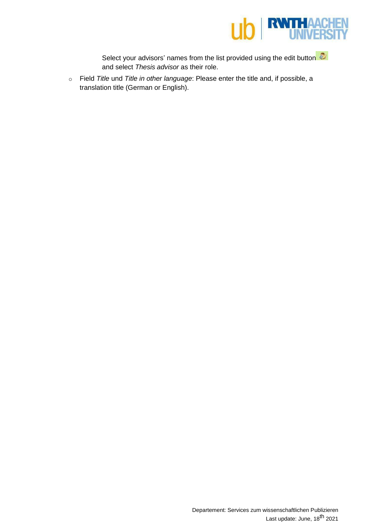

Select your advisors' names from the list provided using the edit button and select *Thesis advisor* as their role.

o Field *Title* und *Title in other language*: Please enter the title and, if possible, a translation title (German or English).